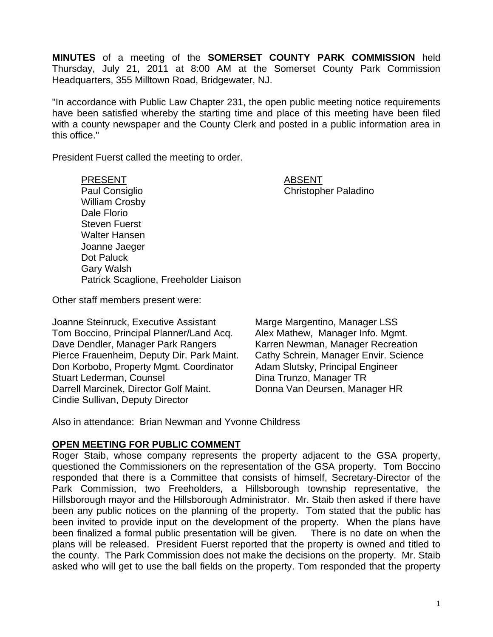**MINUTES** of a meeting of the **SOMERSET COUNTY PARK COMMISSION** held Thursday, July 21, 2011 at 8:00 AM at the Somerset County Park Commission Headquarters, 355 Milltown Road, Bridgewater, NJ.

"In accordance with Public Law Chapter 231, the open public meeting notice requirements have been satisfied whereby the starting time and place of this meeting have been filed with a county newspaper and the County Clerk and posted in a public information area in this office."

President Fuerst called the meeting to order.

PRESENT ABSENT Paul Consiglio Christopher Paladino William Crosby Dale Florio Steven Fuerst Walter Hansen Joanne Jaeger Dot Paluck Gary Walsh Patrick Scaglione, Freeholder Liaison

Other staff members present were:

Joanne Steinruck, Executive Assistant Marge Margentino, Manager LSS Tom Boccino, Principal Planner/Land Acq. Alex Mathew, Manager Info. Mgmt. Dave Dendler, Manager Park Rangers Karren Newman, Manager Recreation Pierce Frauenheim, Deputy Dir. Park Maint. Cathy Schrein, Manager Envir. Science Don Korbobo, Property Mgmt. Coordinator Adam Slutsky, Principal Engineer Stuart Lederman, Counsel **Dina Trunzo**, Manager TR Darrell Marcinek, Director Golf Maint. Donna Van Deursen, Manager HR Cindie Sullivan, Deputy Director

Also in attendance: Brian Newman and Yvonne Childress

### **OPEN MEETING FOR PUBLIC COMMENT**

Roger Staib, whose company represents the property adjacent to the GSA property, questioned the Commissioners on the representation of the GSA property. Tom Boccino responded that there is a Committee that consists of himself, Secretary-Director of the Park Commission, two Freeholders, a Hillsborough township representative, the Hillsborough mayor and the Hillsborough Administrator. Mr. Staib then asked if there have been any public notices on the planning of the property. Tom stated that the public has been invited to provide input on the development of the property. When the plans have been finalized a formal public presentation will be given. There is no date on when the plans will be released. President Fuerst reported that the property is owned and titled to the county. The Park Commission does not make the decisions on the property. Mr. Staib asked who will get to use the ball fields on the property. Tom responded that the property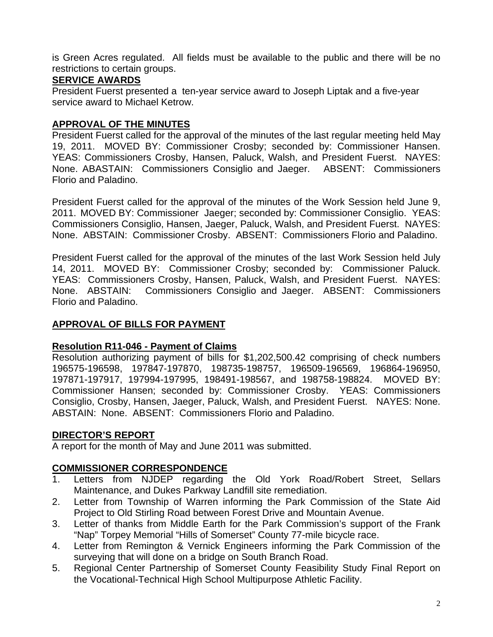is Green Acres regulated. All fields must be available to the public and there will be no restrictions to certain groups.

# **SERVICE AWARDS**

President Fuerst presented a ten-year service award to Joseph Liptak and a five-year service award to Michael Ketrow.

# **APPROVAL OF THE MINUTES**

President Fuerst called for the approval of the minutes of the last regular meeting held May 19, 2011. MOVED BY: Commissioner Crosby; seconded by: Commissioner Hansen. YEAS: Commissioners Crosby, Hansen, Paluck, Walsh, and President Fuerst. NAYES: None. ABASTAIN: Commissioners Consiglio and Jaeger. ABSENT: Commissioners Florio and Paladino.

President Fuerst called for the approval of the minutes of the Work Session held June 9, 2011. MOVED BY: Commissioner Jaeger; seconded by: Commissioner Consiglio. YEAS: Commissioners Consiglio, Hansen, Jaeger, Paluck, Walsh, and President Fuerst. NAYES: None. ABSTAIN: Commissioner Crosby. ABSENT: Commissioners Florio and Paladino.

President Fuerst called for the approval of the minutes of the last Work Session held July 14, 2011. MOVED BY: Commissioner Crosby; seconded by: Commissioner Paluck. YEAS: Commissioners Crosby, Hansen, Paluck, Walsh, and President Fuerst. NAYES: None. ABSTAIN: Commissioners Consiglio and Jaeger. ABSENT: Commissioners Florio and Paladino.

## **APPROVAL OF BILLS FOR PAYMENT**

## **Resolution R11-046 - Payment of Claims**

Resolution authorizing payment of bills for \$1,202,500.42 comprising of check numbers 196575-196598, 197847-197870, 198735-198757, 196509-196569, 196864-196950, 197871-197917, 197994-197995, 198491-198567, and 198758-198824. MOVED BY: Commissioner Hansen; seconded by: Commissioner Crosby. YEAS: Commissioners Consiglio, Crosby, Hansen, Jaeger, Paluck, Walsh, and President Fuerst. NAYES: None. ABSTAIN: None. ABSENT: Commissioners Florio and Paladino.

## **DIRECTOR'S REPORT**

A report for the month of May and June 2011 was submitted.

# **COMMISSIONER CORRESPONDENCE**

- 1. Letters from NJDEP regarding the Old York Road/Robert Street, Sellars Maintenance, and Dukes Parkway Landfill site remediation.
- 2. Letter from Township of Warren informing the Park Commission of the State Aid Project to Old Stirling Road between Forest Drive and Mountain Avenue.
- 3. Letter of thanks from Middle Earth for the Park Commission's support of the Frank "Nap" Torpey Memorial "Hills of Somerset" County 77-mile bicycle race.
- 4. Letter from Remington & Vernick Engineers informing the Park Commission of the surveying that will done on a bridge on South Branch Road.
- 5. Regional Center Partnership of Somerset County Feasibility Study Final Report on the Vocational-Technical High School Multipurpose Athletic Facility.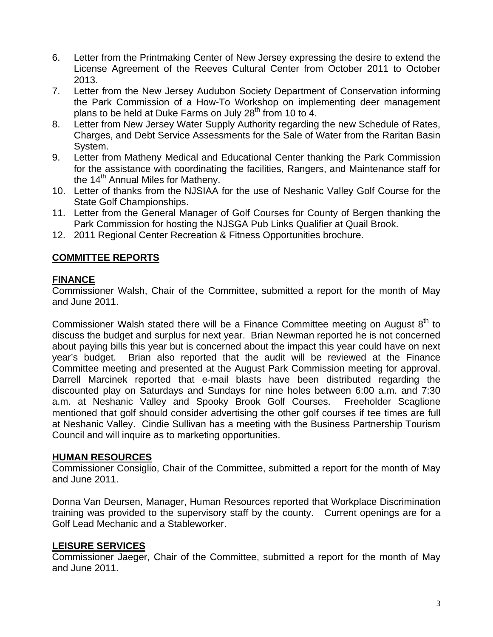- 6. Letter from the Printmaking Center of New Jersey expressing the desire to extend the License Agreement of the Reeves Cultural Center from October 2011 to October 2013.
- 7. Letter from the New Jersey Audubon Society Department of Conservation informing the Park Commission of a How-To Workshop on implementing deer management plans to be held at Duke Farms on July  $28<sup>th</sup>$  from 10 to 4.
- 8. Letter from New Jersey Water Supply Authority regarding the new Schedule of Rates, Charges, and Debt Service Assessments for the Sale of Water from the Raritan Basin System.
- 9. Letter from Matheny Medical and Educational Center thanking the Park Commission for the assistance with coordinating the facilities, Rangers, and Maintenance staff for the 14<sup>th</sup> Annual Miles for Matheny.
- 10. Letter of thanks from the NJSIAA for the use of Neshanic Valley Golf Course for the State Golf Championships.
- 11. Letter from the General Manager of Golf Courses for County of Bergen thanking the Park Commission for hosting the NJSGA Pub Links Qualifier at Quail Brook.
- 12. 2011 Regional Center Recreation & Fitness Opportunities brochure.

# **COMMITTEE REPORTS**

### **FINANCE**

Commissioner Walsh, Chair of the Committee, submitted a report for the month of May and June 2011.

Commissioner Walsh stated there will be a Finance Committee meeting on August  $8<sup>th</sup>$  to discuss the budget and surplus for next year. Brian Newman reported he is not concerned about paying bills this year but is concerned about the impact this year could have on next year's budget. Brian also reported that the audit will be reviewed at the Finance Committee meeting and presented at the August Park Commission meeting for approval. Darrell Marcinek reported that e-mail blasts have been distributed regarding the discounted play on Saturdays and Sundays for nine holes between 6:00 a.m. and 7:30 a.m. at Neshanic Valley and Spooky Brook Golf Courses. Freeholder Scaglione mentioned that golf should consider advertising the other golf courses if tee times are full at Neshanic Valley. Cindie Sullivan has a meeting with the Business Partnership Tourism Council and will inquire as to marketing opportunities.

### **HUMAN RESOURCES**

Commissioner Consiglio, Chair of the Committee, submitted a report for the month of May and June 2011.

Donna Van Deursen, Manager, Human Resources reported that Workplace Discrimination training was provided to the supervisory staff by the county. Current openings are for a Golf Lead Mechanic and a Stableworker.

## **LEISURE SERVICES**

Commissioner Jaeger, Chair of the Committee, submitted a report for the month of May and June 2011.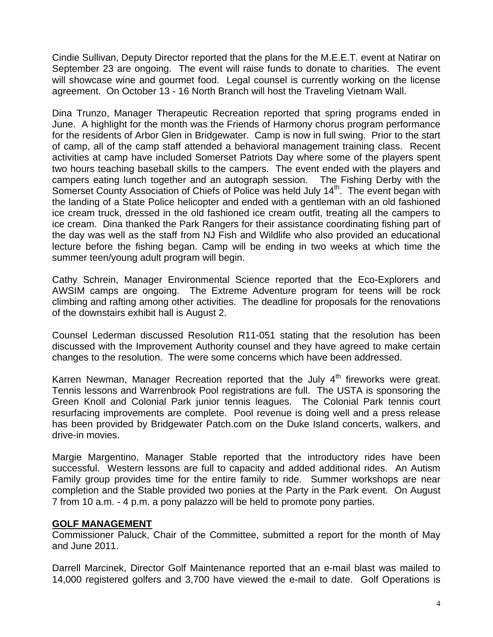Cindie Sullivan, Deputy Director reported that the plans for the M.E.E.T. event at Natirar on September 23 are ongoing. The event will raise funds to donate to charities. The event will showcase wine and gourmet food. Legal counsel is currently working on the license agreement. On October 13 - 16 North Branch will host the Traveling Vietnam Wall.

Dina Trunzo, Manager Therapeutic Recreation reported that spring programs ended in June. A highlight for the month was the Friends of Harmony chorus program performance for the residents of Arbor Glen in Bridgewater. Camp is now in full swing. Prior to the start of camp, all of the camp staff attended a behavioral management training class. Recent activities at camp have included Somerset Patriots Day where some of the players spent two hours teaching baseball skills to the campers. The event ended with the players and campers eating lunch together and an autograph session. The Fishing Derby with the Somerset County Association of Chiefs of Police was held July 14<sup>th</sup>. The event began with the landing of a State Police helicopter and ended with a gentleman with an old fashioned ice cream truck, dressed in the old fashioned ice cream outfit, treating all the campers to ice cream. Dina thanked the Park Rangers for their assistance coordinating fishing part of the day was well as the staff from NJ Fish and Wildlife who also provided an educational lecture before the fishing began. Camp will be ending in two weeks at which time the summer teen/young adult program will begin.

Cathy Schrein, Manager Environmental Science reported that the Eco-Explorers and AWSIM camps are ongoing. The Extreme Adventure program for teens will be rock climbing and rafting among other activities. The deadline for proposals for the renovations of the downstairs exhibit hall is August 2.

Counsel Lederman discussed Resolution R11-051 stating that the resolution has been discussed with the Improvement Authority counsel and they have agreed to make certain changes to the resolution. The were some concerns which have been addressed.

Karren Newman, Manager Recreation reported that the July  $4<sup>th</sup>$  fireworks were great. Tennis lessons and Warrenbrook Pool registrations are full. The USTA is sponsoring the Green Knoll and Colonial Park junior tennis leagues. The Colonial Park tennis court resurfacing improvements are complete. Pool revenue is doing well and a press release has been provided by Bridgewater Patch.com on the Duke Island concerts, walkers, and drive-in movies.

Margie Margentino, Manager Stable reported that the introductory rides have been successful. Western lessons are full to capacity and added additional rides. An Autism Family group provides time for the entire family to ride. Summer workshops are near completion and the Stable provided two ponies at the Party in the Park event. On August 7 from 10 a.m. - 4 p.m. a pony palazzo will be held to promote pony parties.

### **GOLF MANAGEMENT**

Commissioner Paluck, Chair of the Committee, submitted a report for the month of May and June 2011.

Darrell Marcinek, Director Golf Maintenance reported that an e-mail blast was mailed to 14,000 registered golfers and 3,700 have viewed the e-mail to date. Golf Operations is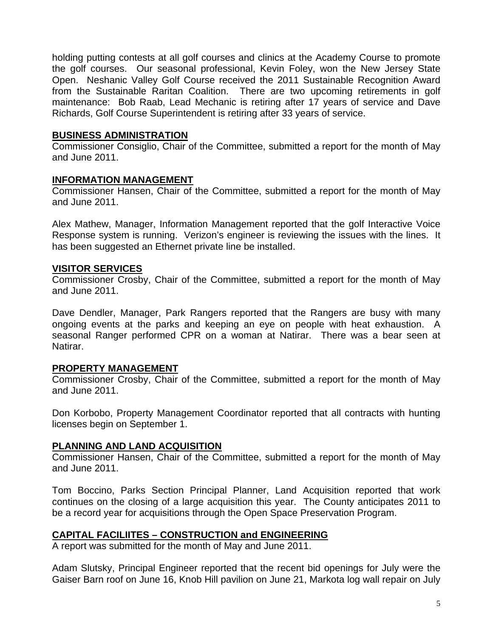holding putting contests at all golf courses and clinics at the Academy Course to promote the golf courses. Our seasonal professional, Kevin Foley, won the New Jersey State Open. Neshanic Valley Golf Course received the 2011 Sustainable Recognition Award from the Sustainable Raritan Coalition. There are two upcoming retirements in golf maintenance: Bob Raab, Lead Mechanic is retiring after 17 years of service and Dave Richards, Golf Course Superintendent is retiring after 33 years of service.

#### **BUSINESS ADMINISTRATION**

Commissioner Consiglio, Chair of the Committee, submitted a report for the month of May and June 2011.

#### **INFORMATION MANAGEMENT**

Commissioner Hansen, Chair of the Committee, submitted a report for the month of May and June 2011.

Alex Mathew, Manager, Information Management reported that the golf Interactive Voice Response system is running. Verizon's engineer is reviewing the issues with the lines. It has been suggested an Ethernet private line be installed.

### **VISITOR SERVICES**

Commissioner Crosby, Chair of the Committee, submitted a report for the month of May and June 2011.

Dave Dendler, Manager, Park Rangers reported that the Rangers are busy with many ongoing events at the parks and keeping an eye on people with heat exhaustion. A seasonal Ranger performed CPR on a woman at Natirar. There was a bear seen at Natirar.

### **PROPERTY MANAGEMENT**

Commissioner Crosby, Chair of the Committee, submitted a report for the month of May and June 2011.

Don Korbobo, Property Management Coordinator reported that all contracts with hunting licenses begin on September 1.

### **PLANNING AND LAND ACQUISITION**

Commissioner Hansen, Chair of the Committee, submitted a report for the month of May and June 2011.

Tom Boccino, Parks Section Principal Planner, Land Acquisition reported that work continues on the closing of a large acquisition this year. The County anticipates 2011 to be a record year for acquisitions through the Open Space Preservation Program.

### **CAPITAL FACILIITES – CONSTRUCTION and ENGINEERING**

A report was submitted for the month of May and June 2011.

Adam Slutsky, Principal Engineer reported that the recent bid openings for July were the Gaiser Barn roof on June 16, Knob Hill pavilion on June 21, Markota log wall repair on July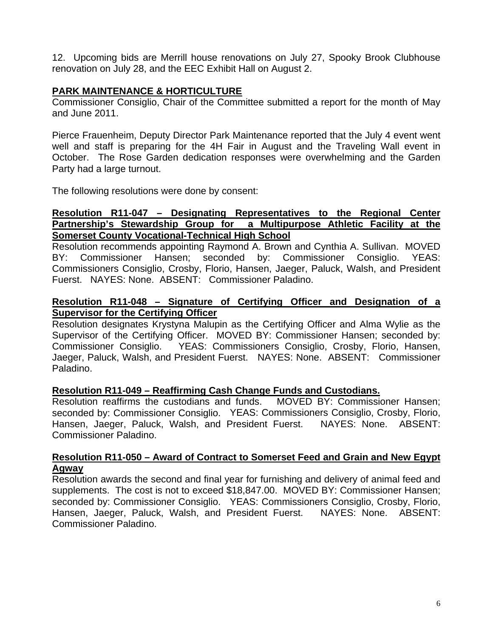12. Upcoming bids are Merrill house renovations on July 27, Spooky Brook Clubhouse renovation on July 28, and the EEC Exhibit Hall on August 2.

# **PARK MAINTENANCE & HORTICULTURE**

Commissioner Consiglio, Chair of the Committee submitted a report for the month of May and June 2011.

Pierce Frauenheim, Deputy Director Park Maintenance reported that the July 4 event went well and staff is preparing for the 4H Fair in August and the Traveling Wall event in October. The Rose Garden dedication responses were overwhelming and the Garden Party had a large turnout.

The following resolutions were done by consent:

### **Resolution R11-047 – Designating Representatives to the Regional Center Partnership's Stewardship Group for a Multipurpose Athletic Facility at the Somerset County Vocational-Technical High School**

Resolution recommends appointing Raymond A. Brown and Cynthia A. Sullivan. MOVED BY: Commissioner Hansen; seconded by: Commissioner Consiglio. YEAS: Commissioners Consiglio, Crosby, Florio, Hansen, Jaeger, Paluck, Walsh, and President Fuerst. NAYES: None. ABSENT: Commissioner Paladino.

### **Resolution R11-048 – Signature of Certifying Officer and Designation of a Supervisor for the Certifying Officer**

Resolution designates Krystyna Malupin as the Certifying Officer and Alma Wylie as the Supervisor of the Certifying Officer. MOVED BY: Commissioner Hansen; seconded by: Commissioner Consiglio. YEAS: Commissioners Consiglio, Crosby, Florio, Hansen, Jaeger, Paluck, Walsh, and President Fuerst. NAYES: None. ABSENT: Commissioner Paladino.

### **Resolution R11-049 – Reaffirming Cash Change Funds and Custodians.**

Resolution reaffirms the custodians and funds. MOVED BY: Commissioner Hansen; seconded by: Commissioner Consiglio. YEAS: Commissioners Consiglio, Crosby, Florio, Hansen, Jaeger, Paluck, Walsh, and President Fuerst. NAYES: None. ABSENT: Commissioner Paladino.

#### **Resolution R11-050 – Award of Contract to Somerset Feed and Grain and New Egypt Agway**

Resolution awards the second and final year for furnishing and delivery of animal feed and supplements. The cost is not to exceed \$18,847.00. MOVED BY: Commissioner Hansen; seconded by: Commissioner Consiglio. YEAS: Commissioners Consiglio, Crosby, Florio, Hansen, Jaeger, Paluck, Walsh, and President Fuerst. NAYES: None. ABSENT: Commissioner Paladino.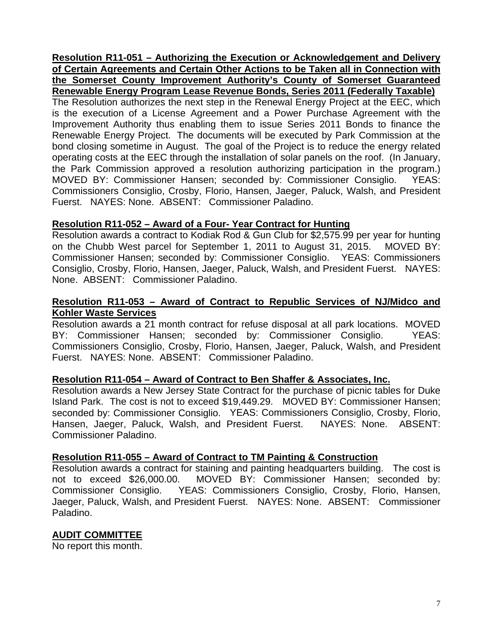**Resolution R11-051 – Authorizing the Execution or Acknowledgement and Delivery of Certain Agreements and Certain Other Actions to be Taken all in Connection with the Somerset County Improvement Authority's County of Somerset Guaranteed Renewable Energy Program Lease Revenue Bonds, Series 2011 (Federally Taxable)** The Resolution authorizes the next step in the Renewal Energy Project at the EEC, which is the execution of a License Agreement and a Power Purchase Agreement with the Improvement Authority thus enabling them to issue Series 2011 Bonds to finance the Renewable Energy Project. The documents will be executed by Park Commission at the bond closing sometime in August. The goal of the Project is to reduce the energy related operating costs at the EEC through the installation of solar panels on the roof. (In January, the Park Commission approved a resolution authorizing participation in the program.) MOVED BY: Commissioner Hansen; seconded by: Commissioner Consiglio. YEAS: Commissioners Consiglio, Crosby, Florio, Hansen, Jaeger, Paluck, Walsh, and President Fuerst. NAYES: None. ABSENT: Commissioner Paladino.

### **Resolution R11-052 – Award of a Four- Year Contract for Hunting**

Resolution awards a contract to Kodiak Rod & Gun Club for \$2,575.99 per year for hunting on the Chubb West parcel for September 1, 2011 to August 31, 2015. MOVED BY: Commissioner Hansen; seconded by: Commissioner Consiglio. YEAS: Commissioners Consiglio, Crosby, Florio, Hansen, Jaeger, Paluck, Walsh, and President Fuerst. NAYES: None. ABSENT: Commissioner Paladino.

### **Resolution R11-053 – Award of Contract to Republic Services of NJ/Midco and Kohler Waste Services**

Resolution awards a 21 month contract for refuse disposal at all park locations. MOVED BY: Commissioner Hansen; seconded by: Commissioner Consiglio. YEAS: Commissioners Consiglio, Crosby, Florio, Hansen, Jaeger, Paluck, Walsh, and President Fuerst. NAYES: None. ABSENT: Commissioner Paladino.

### **Resolution R11-054 – Award of Contract to Ben Shaffer & Associates, Inc.**

Resolution awards a New Jersey State Contract for the purchase of picnic tables for Duke Island Park. The cost is not to exceed \$19,449.29. MOVED BY: Commissioner Hansen; seconded by: Commissioner Consiglio. YEAS: Commissioners Consiglio, Crosby, Florio, Hansen, Jaeger, Paluck, Walsh, and President Fuerst. NAYES: None. ABSENT: Commissioner Paladino.

### **Resolution R11-055 – Award of Contract to TM Painting & Construction**

Resolution awards a contract for staining and painting headquarters building. The cost is not to exceed \$26,000.00. MOVED BY: Commissioner Hansen; seconded by: Commissioner Consiglio. YEAS: Commissioners Consiglio, Crosby, Florio, Hansen, Jaeger, Paluck, Walsh, and President Fuerst. NAYES: None. ABSENT: Commissioner Paladino.

### **AUDIT COMMITTEE**

No report this month.